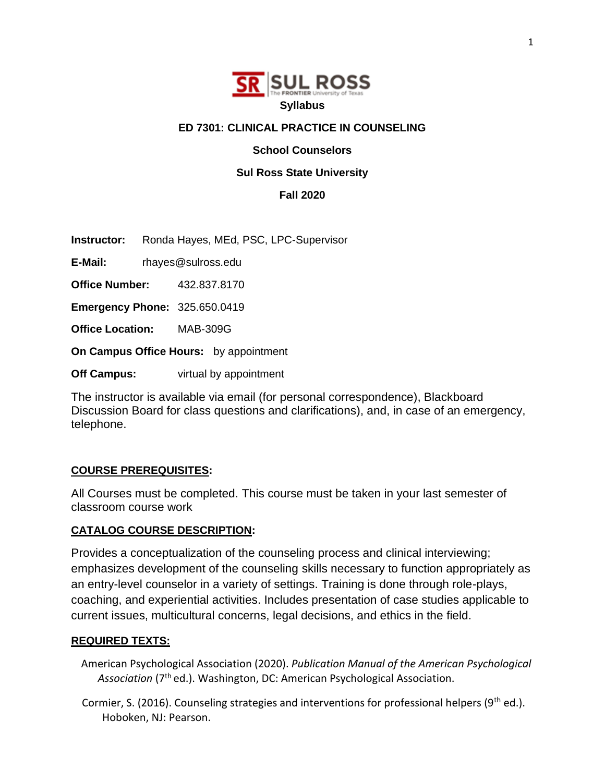

### **ED 7301: CLINICAL PRACTICE IN COUNSELING**

**School Counselors** 

#### **Sul Ross State University**

**Fall 2020**

**Instructor:** Ronda Hayes, MEd, PSC, LPC-Supervisor

**E-Mail:** rhayes@sulross.edu

**Office Number:** 432.837.8170

**Emergency Phone:** 325.650.0419

**Office Location:** MAB-309G

**On Campus Office Hours:** by appointment

**Off Campus:** virtual by appointment

The instructor is available via email (for personal correspondence), Blackboard Discussion Board for class questions and clarifications), and, in case of an emergency, telephone.

### **COURSE PREREQUISITES:**

All Courses must be completed. This course must be taken in your last semester of classroom course work

#### **CATALOG COURSE DESCRIPTION:**

Provides a conceptualization of the counseling process and clinical interviewing; emphasizes development of the counseling skills necessary to function appropriately as an entry-level counselor in a variety of settings. Training is done through role-plays, coaching, and experiential activities. Includes presentation of case studies applicable to current issues, multicultural concerns, legal decisions, and ethics in the field.

#### **REQUIRED TEXTS:**

American Psychological Association (2020). *Publication Manual of the American Psychological*  Association (7<sup>th</sup> ed.). Washington, DC: American Psychological Association.

Cormier, S. (2016). Counseling strategies and interventions for professional helpers ( $9<sup>th</sup>$  ed.). Hoboken, NJ: Pearson.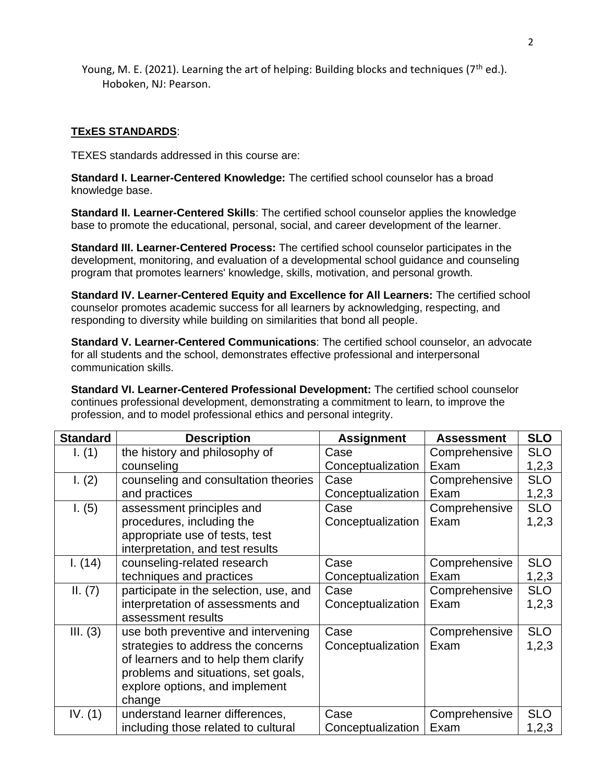Young, M. E. (2021). Learning the art of helping: Building blocks and techniques ( $7<sup>th</sup>$  ed.). Hoboken, NJ: Pearson.

## **TExES STANDARDS**:

TEXES standards addressed in this course are:

**Standard I. Learner-Centered Knowledge:** The certified school counselor has a broad knowledge base.

**Standard II. Learner-Centered Skills**: The certified school counselor applies the knowledge base to promote the educational, personal, social, and career development of the learner.

**Standard III. Learner-Centered Process:** The certified school counselor participates in the development, monitoring, and evaluation of a developmental school guidance and counseling program that promotes learners' knowledge, skills, motivation, and personal growth.

**Standard IV. Learner-Centered Equity and Excellence for All Learners:** The certified school counselor promotes academic success for all learners by acknowledging, respecting, and responding to diversity while building on similarities that bond all people.

**Standard V. Learner-Centered Communications**: The certified school counselor, an advocate for all students and the school, demonstrates effective professional and interpersonal communication skills.

**Standard VI. Learner-Centered Professional Development:** The certified school counselor continues professional development, demonstrating a commitment to learn, to improve the profession, and to model professional ethics and personal integrity.

| <b>Standard</b> | <b>Description</b>                     | <b>Assignment</b> | <b>Assessment</b> | <b>SLO</b> |
|-----------------|----------------------------------------|-------------------|-------------------|------------|
| I. (1)          | the history and philosophy of          | Case              | Comprehensive     | <b>SLO</b> |
|                 | counseling                             | Conceptualization | Exam              | 1,2,3      |
| 1. (2)          | counseling and consultation theories   | Case              | Comprehensive     | <b>SLO</b> |
|                 | and practices                          | Conceptualization | Exam              | 1,2,3      |
| 1. (5)          | assessment principles and              | Case              | Comprehensive     | <b>SLO</b> |
|                 | procedures, including the              | Conceptualization | Exam              | 1,2,3      |
|                 | appropriate use of tests, test         |                   |                   |            |
|                 | interpretation, and test results       |                   |                   |            |
| 1. (14)         | counseling-related research            | Case              | Comprehensive     | <b>SLO</b> |
|                 | techniques and practices               | Conceptualization | Exam              | 1,2,3      |
| II. (7)         | participate in the selection, use, and | Case              | Comprehensive     | <b>SLO</b> |
|                 | interpretation of assessments and      | Conceptualization | Exam              | 1,2,3      |
|                 | assessment results                     |                   |                   |            |
| III. (3)        | use both preventive and intervening    | Case              | Comprehensive     | <b>SLO</b> |
|                 | strategies to address the concerns     | Conceptualization | Exam              | 1,2,3      |
|                 | of learners and to help them clarify   |                   |                   |            |
|                 | problems and situations, set goals,    |                   |                   |            |
|                 | explore options, and implement         |                   |                   |            |
|                 | change                                 |                   |                   |            |
| IV. $(1)$       | understand learner differences,        | Case              | Comprehensive     | <b>SLO</b> |
|                 | including those related to cultural    | Conceptualization | Exam              | 1,2,3      |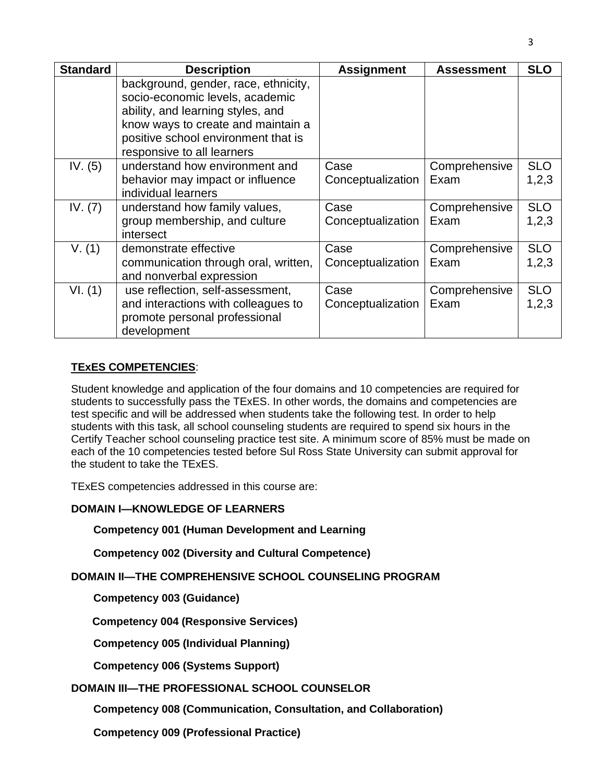| <b>Standard</b> | <b>Description</b>                                                                                                                                                                                                      | <b>Assignment</b>         | <b>Assessment</b>     | <b>SLO</b>          |  |
|-----------------|-------------------------------------------------------------------------------------------------------------------------------------------------------------------------------------------------------------------------|---------------------------|-----------------------|---------------------|--|
|                 | background, gender, race, ethnicity,<br>socio-economic levels, academic<br>ability, and learning styles, and<br>know ways to create and maintain a<br>positive school environment that is<br>responsive to all learners |                           |                       |                     |  |
| IV. $(5)$       | understand how environment and<br>behavior may impact or influence<br>individual learners                                                                                                                               | Case<br>Conceptualization | Comprehensive<br>Exam | <b>SLO</b><br>1,2,3 |  |
| IV. (7)         | understand how family values,<br>group membership, and culture<br>intersect                                                                                                                                             | Case<br>Conceptualization | Comprehensive<br>Exam | <b>SLO</b><br>1,2,3 |  |
| V. (1)          | demonstrate effective<br>communication through oral, written,<br>and nonverbal expression                                                                                                                               | Case<br>Conceptualization | Comprehensive<br>Exam | <b>SLO</b><br>1,2,3 |  |
| VI. (1)         | use reflection, self-assessment,<br>and interactions with colleagues to<br>promote personal professional<br>development                                                                                                 | Case<br>Conceptualization | Comprehensive<br>Exam | <b>SLO</b><br>1,2,3 |  |

### **TExES COMPETENCIES**:

Student knowledge and application of the four domains and 10 competencies are required for students to successfully pass the TExES. In other words, the domains and competencies are test specific and will be addressed when students take the following test. In order to help students with this task, all school counseling students are required to spend six hours in the Certify Teacher school counseling practice test site. A minimum score of 85% must be made on each of the 10 competencies tested before Sul Ross State University can submit approval for the student to take the TExES.

TExES competencies addressed in this course are:

# **DOMAIN I—KNOWLEDGE OF LEARNERS**

**Competency 001 (Human Development and Learning**

**Competency 002 (Diversity and Cultural Competence)**

**DOMAIN II—THE COMPREHENSIVE SCHOOL COUNSELING PROGRAM** 

**Competency 003 (Guidance)**

 **Competency 004 (Responsive Services)**

**Competency 005 (Individual Planning)**

**Competency 006 (Systems Support)**

### **DOMAIN III—THE PROFESSIONAL SCHOOL COUNSELOR**

**Competency 008 (Communication, Consultation, and Collaboration)** 

**Competency 009 (Professional Practice)**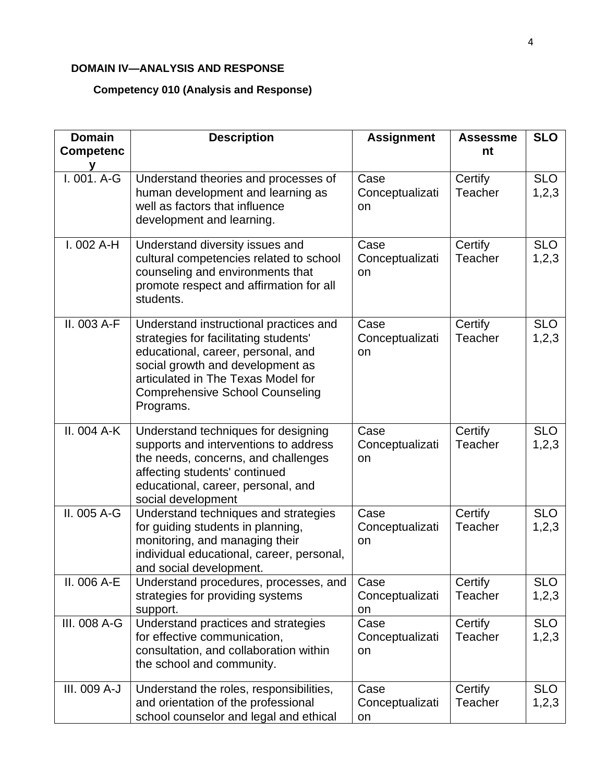# **DOMAIN IV—ANALYSIS AND RESPONSE**

# **Competency 010 (Analysis and Response)**

| <b>Domain</b><br><b>Competenc</b> | <b>Description</b>                                                                                                                                                                                                                                     | <b>Assignment</b>             | <b>Assessme</b><br>nt     | <b>SLO</b>          |
|-----------------------------------|--------------------------------------------------------------------------------------------------------------------------------------------------------------------------------------------------------------------------------------------------------|-------------------------------|---------------------------|---------------------|
|                                   |                                                                                                                                                                                                                                                        |                               |                           |                     |
| I. 001. A-G                       | Understand theories and processes of<br>human development and learning as<br>well as factors that influence<br>development and learning.                                                                                                               | Case<br>Conceptualizati<br>on | Certify<br><b>Teacher</b> | <b>SLO</b><br>1,2,3 |
| $I.002A-H$                        | Understand diversity issues and<br>cultural competencies related to school<br>counseling and environments that<br>promote respect and affirmation for all<br>students.                                                                                 | Case<br>Conceptualizati<br>on | Certify<br><b>Teacher</b> | <b>SLO</b><br>1,2,3 |
| II. 003 A-F                       | Understand instructional practices and<br>strategies for facilitating students'<br>educational, career, personal, and<br>social growth and development as<br>articulated in The Texas Model for<br><b>Comprehensive School Counseling</b><br>Programs. | Case<br>Conceptualizati<br>on | Certify<br>Teacher        | <b>SLO</b><br>1,2,3 |
| II. 004 A-K                       | Understand techniques for designing<br>supports and interventions to address<br>the needs, concerns, and challenges<br>affecting students' continued<br>educational, career, personal, and<br>social development                                       | Case<br>Conceptualizati<br>on | Certify<br>Teacher        | <b>SLO</b><br>1,2,3 |
| II. 005 A-G                       | Understand techniques and strategies<br>for guiding students in planning,<br>monitoring, and managing their<br>individual educational, career, personal,<br>and social development.                                                                    | Case<br>Conceptualizati<br>on | Certify<br>Teacher        | <b>SLO</b><br>1,2,3 |
| II. 006 A-E                       | Understand procedures, processes, and<br>strategies for providing systems<br>support.                                                                                                                                                                  | Case<br>Conceptualizati<br>on | Certify<br>Teacher        | <b>SLO</b><br>1,2,3 |
| III. 008 A-G                      | Understand practices and strategies<br>for effective communication,<br>consultation, and collaboration within<br>the school and community.                                                                                                             | Case<br>Conceptualizati<br>on | Certify<br><b>Teacher</b> | <b>SLO</b><br>1,2,3 |
| III. 009 A-J                      | Understand the roles, responsibilities,<br>and orientation of the professional<br>school counselor and legal and ethical                                                                                                                               | Case<br>Conceptualizati<br>on | Certify<br><b>Teacher</b> | <b>SLO</b><br>1,2,3 |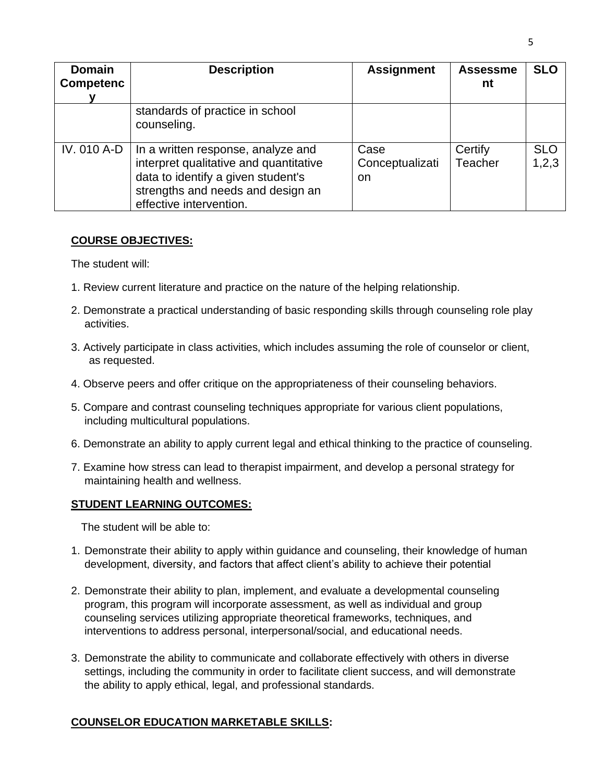| <b>Domain</b><br><b>Competenc</b> | <b>Description</b>                                                                                                                                                                 | <b>Assignment</b>              | <b>Assessme</b><br>nt | <b>SLO</b>          |
|-----------------------------------|------------------------------------------------------------------------------------------------------------------------------------------------------------------------------------|--------------------------------|-----------------------|---------------------|
|                                   | standards of practice in school<br>counseling.                                                                                                                                     |                                |                       |                     |
| IV. 010 A-D                       | In a written response, analyze and<br>interpret qualitative and quantitative<br>data to identify a given student's<br>strengths and needs and design an<br>effective intervention. | Case<br>Conceptualizati<br>on. | Certify<br>Teacher    | <b>SLO</b><br>1,2,3 |

#### **COURSE OBJECTIVES:**

The student will:

- 1. Review current literature and practice on the nature of the helping relationship.
- 2. Demonstrate a practical understanding of basic responding skills through counseling role play activities.
- 3. Actively participate in class activities, which includes assuming the role of counselor or client, as requested.
- 4. Observe peers and offer critique on the appropriateness of their counseling behaviors.
- 5. Compare and contrast counseling techniques appropriate for various client populations, including multicultural populations.
- 6. Demonstrate an ability to apply current legal and ethical thinking to the practice of counseling.
- 7. Examine how stress can lead to therapist impairment, and develop a personal strategy for maintaining health and wellness.

### **STUDENT LEARNING OUTCOMES:**

The student will be able to:

- 1. Demonstrate their ability to apply within guidance and counseling, their knowledge of human development, diversity, and factors that affect client's ability to achieve their potential
- 2. Demonstrate their ability to plan, implement, and evaluate a developmental counseling program, this program will incorporate assessment, as well as individual and group counseling services utilizing appropriate theoretical frameworks, techniques, and interventions to address personal, interpersonal/social, and educational needs.
- 3. Demonstrate the ability to communicate and collaborate effectively with others in diverse settings, including the community in order to facilitate client success, and will demonstrate the ability to apply ethical, legal, and professional standards.

# **COUNSELOR EDUCATION MARKETABLE SKILLS:**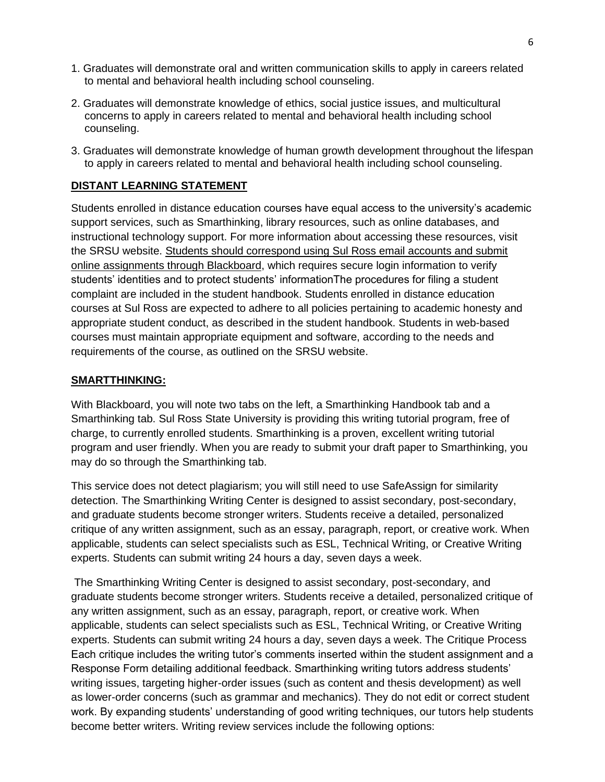- 1. Graduates will demonstrate oral and written communication skills to apply in careers related to mental and behavioral health including school counseling.
- 2. Graduates will demonstrate knowledge of ethics, social justice issues, and multicultural concerns to apply in careers related to mental and behavioral health including school counseling.
- 3. Graduates will demonstrate knowledge of human growth development throughout the lifespan to apply in careers related to mental and behavioral health including school counseling.

## **DISTANT LEARNING STATEMENT**

Students enrolled in distance education courses have equal access to the university's academic support services, such as Smarthinking, library resources, such as online databases, and instructional technology support. For more information about accessing these resources, visit the SRSU website. Students should correspond using Sul Ross email accounts and submit online assignments through Blackboard, which requires secure login information to verify students' identities and to protect students' informationThe procedures for filing a student complaint are included in the student handbook. Students enrolled in distance education courses at Sul Ross are expected to adhere to all policies pertaining to academic honesty and appropriate student conduct, as described in the student handbook. Students in web-based courses must maintain appropriate equipment and software, according to the needs and requirements of the course, as outlined on the SRSU website.

#### **SMARTTHINKING:**

With Blackboard, you will note two tabs on the left, a Smarthinking Handbook tab and a Smarthinking tab. Sul Ross State University is providing this writing tutorial program, free of charge, to currently enrolled students. Smarthinking is a proven, excellent writing tutorial program and user friendly. When you are ready to submit your draft paper to Smarthinking, you may do so through the Smarthinking tab.

This service does not detect plagiarism; you will still need to use SafeAssign for similarity detection. The Smarthinking Writing Center is designed to assist secondary, post-secondary, and graduate students become stronger writers. Students receive a detailed, personalized critique of any written assignment, such as an essay, paragraph, report, or creative work. When applicable, students can select specialists such as ESL, Technical Writing, or Creative Writing experts. Students can submit writing 24 hours a day, seven days a week.

The Smarthinking Writing Center is designed to assist secondary, post-secondary, and graduate students become stronger writers. Students receive a detailed, personalized critique of any written assignment, such as an essay, paragraph, report, or creative work. When applicable, students can select specialists such as ESL, Technical Writing, or Creative Writing experts. Students can submit writing 24 hours a day, seven days a week. The Critique Process Each critique includes the writing tutor's comments inserted within the student assignment and a Response Form detailing additional feedback. Smarthinking writing tutors address students' writing issues, targeting higher-order issues (such as content and thesis development) as well as lower-order concerns (such as grammar and mechanics). They do not edit or correct student work. By expanding students' understanding of good writing techniques, our tutors help students become better writers. Writing review services include the following options: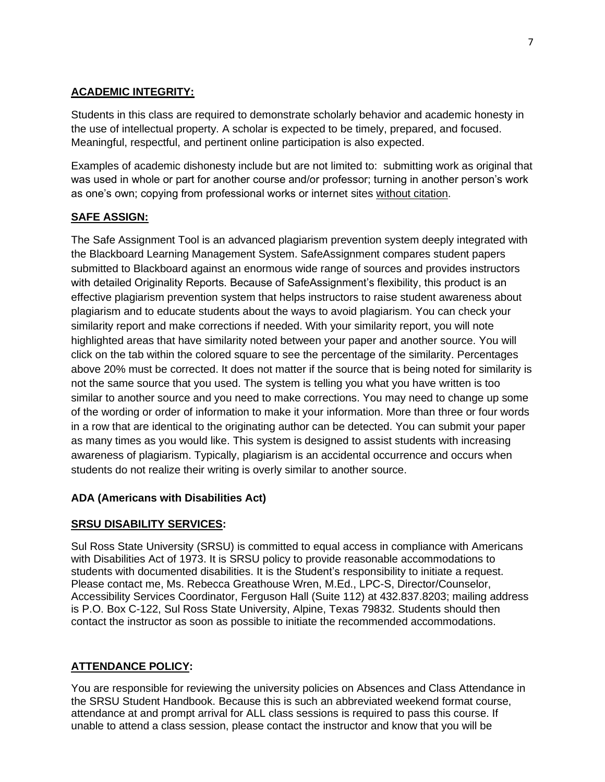# **ACADEMIC INTEGRITY:**

Students in this class are required to demonstrate scholarly behavior and academic honesty in the use of intellectual property. A scholar is expected to be timely, prepared, and focused. Meaningful, respectful, and pertinent online participation is also expected.

Examples of academic dishonesty include but are not limited to: submitting work as original that was used in whole or part for another course and/or professor; turning in another person's work as one's own; copying from professional works or internet sites without citation.

# **SAFE ASSIGN:**

The Safe Assignment Tool is an advanced plagiarism prevention system deeply integrated with the Blackboard Learning Management System. SafeAssignment compares student papers submitted to Blackboard against an enormous wide range of sources and provides instructors with detailed Originality Reports. Because of SafeAssignment's flexibility, this product is an effective plagiarism prevention system that helps instructors to raise student awareness about plagiarism and to educate students about the ways to avoid plagiarism. You can check your similarity report and make corrections if needed. With your similarity report, you will note highlighted areas that have similarity noted between your paper and another source. You will click on the tab within the colored square to see the percentage of the similarity. Percentages above 20% must be corrected. It does not matter if the source that is being noted for similarity is not the same source that you used. The system is telling you what you have written is too similar to another source and you need to make corrections. You may need to change up some of the wording or order of information to make it your information. More than three or four words in a row that are identical to the originating author can be detected. You can submit your paper as many times as you would like. This system is designed to assist students with increasing awareness of plagiarism. Typically, plagiarism is an accidental occurrence and occurs when students do not realize their writing is overly similar to another source.

### **ADA (Americans with Disabilities Act)**

### **SRSU DISABILITY SERVICES:**

Sul Ross State University (SRSU) is committed to equal access in compliance with Americans with Disabilities Act of 1973. It is SRSU policy to provide reasonable accommodations to students with documented disabilities. It is the Student's responsibility to initiate a request. Please contact me, Ms. Rebecca Greathouse Wren, M.Ed., LPC-S, Director/Counselor, Accessibility Services Coordinator, Ferguson Hall (Suite 112) at 432.837.8203; mailing address is P.O. Box C-122, Sul Ross State University, Alpine, Texas 79832. Students should then contact the instructor as soon as possible to initiate the recommended accommodations.

### **ATTENDANCE POLICY:**

You are responsible for reviewing the university policies on Absences and Class Attendance in the SRSU Student Handbook. Because this is such an abbreviated weekend format course, attendance at and prompt arrival for ALL class sessions is required to pass this course. If unable to attend a class session, please contact the instructor and know that you will be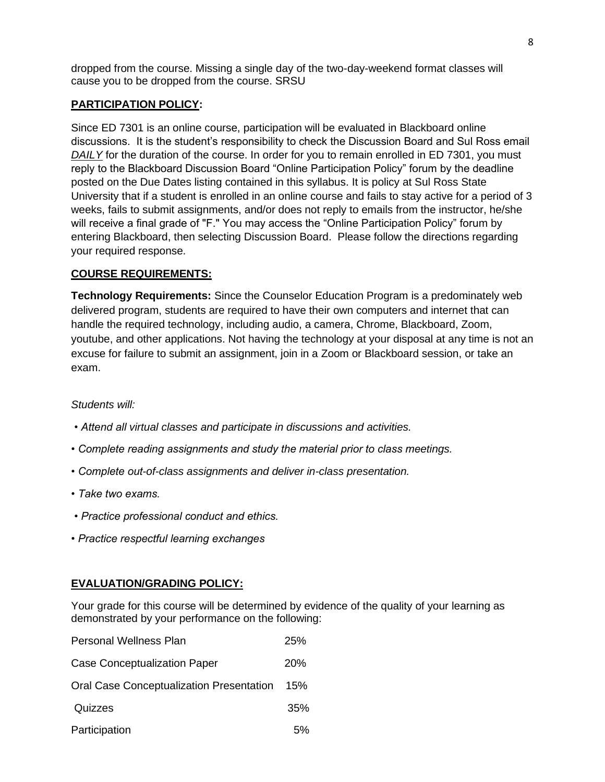dropped from the course. Missing a single day of the two-day-weekend format classes will cause you to be dropped from the course. SRSU

## **PARTICIPATION POLICY:**

Since ED 7301 is an online course, participation will be evaluated in Blackboard online discussions. It is the student's responsibility to check the Discussion Board and Sul Ross email *DAILY* for the duration of the course. In order for you to remain enrolled in ED 7301, you must reply to the Blackboard Discussion Board "Online Participation Policy" forum by the deadline posted on the Due Dates listing contained in this syllabus. It is policy at Sul Ross State University that if a student is enrolled in an online course and fails to stay active for a period of 3 weeks, fails to submit assignments, and/or does not reply to emails from the instructor, he/she will receive a final grade of "F." You may access the "Online Participation Policy" forum by entering Blackboard, then selecting Discussion Board. Please follow the directions regarding your required response.

# **COURSE REQUIREMENTS:**

**Technology Requirements:** Since the Counselor Education Program is a predominately web delivered program, students are required to have their own computers and internet that can handle the required technology, including audio, a camera, Chrome, Blackboard, Zoom, youtube, and other applications. Not having the technology at your disposal at any time is not an excuse for failure to submit an assignment, join in a Zoom or Blackboard session, or take an exam.

### *Students will:*

- *Attend all virtual classes and participate in discussions and activities.*
- *Complete reading assignments and study the material prior to class meetings.*
- *Complete out-of-class assignments and deliver in-class presentation.*
- *Take two exams.*
- *Practice professional conduct and ethics.*
- *Practice respectful learning exchanges*

### **EVALUATION/GRADING POLICY:**

Your grade for this course will be determined by evidence of the quality of your learning as demonstrated by your performance on the following:

| <b>Personal Wellness Plan</b>                   | 25% |
|-------------------------------------------------|-----|
| <b>Case Conceptualization Paper</b>             | 20% |
| <b>Oral Case Conceptualization Presentation</b> | 15% |
| Quizzes                                         | 35% |
| Participation                                   | 5%  |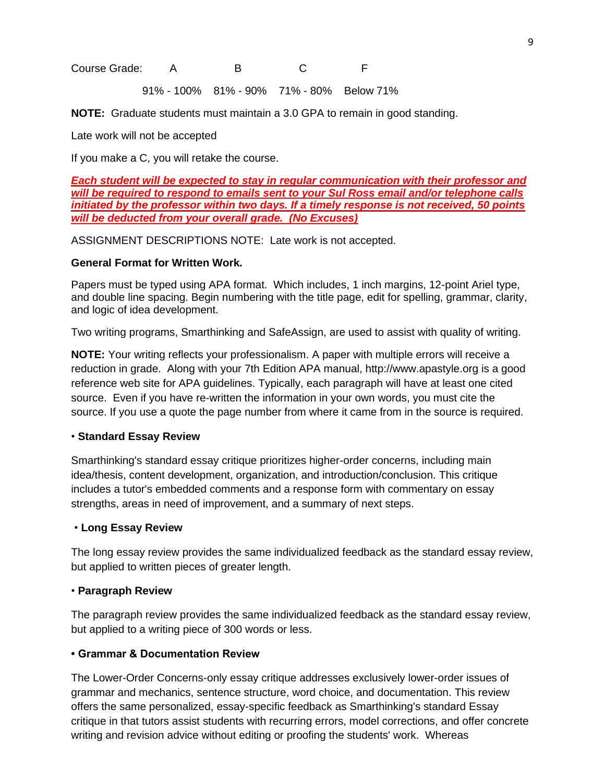Course Grade: A B C F

91% - 100% 81% - 90% 71% - 80% Below 71%

**NOTE:** Graduate students must maintain a 3.0 GPA to remain in good standing.

Late work will not be accepted

If you make a C, you will retake the course.

*Each student will be expected to stay in regular communication with their professor and will be required to respond to emails sent to your Sul Ross email and/or telephone calls initiated by the professor within two days. If a timely response is not received, 50 points will be deducted from your overall grade. (No Excuses)*

ASSIGNMENT DESCRIPTIONS NOTE: Late work is not accepted.

#### **General Format for Written Work.**

Papers must be typed using APA format. Which includes, 1 inch margins, 12-point Ariel type, and double line spacing. Begin numbering with the title page, edit for spelling, grammar, clarity, and logic of idea development.

Two writing programs, Smarthinking and SafeAssign, are used to assist with quality of writing.

**NOTE:** Your writing reflects your professionalism. A paper with multiple errors will receive a reduction in grade. Along with your 7th Edition APA manual, http://www.apastyle.org is a good reference web site for APA guidelines. Typically, each paragraph will have at least one cited source. Even if you have re-written the information in your own words, you must cite the source. If you use a quote the page number from where it came from in the source is required.

#### • **Standard Essay Review**

Smarthinking's standard essay critique prioritizes higher-order concerns, including main idea/thesis, content development, organization, and introduction/conclusion. This critique includes a tutor's embedded comments and a response form with commentary on essay strengths, areas in need of improvement, and a summary of next steps.

#### • **Long Essay Review**

The long essay review provides the same individualized feedback as the standard essay review, but applied to written pieces of greater length.

#### • **Paragraph Review**

The paragraph review provides the same individualized feedback as the standard essay review, but applied to a writing piece of 300 words or less.

### **• Grammar & Documentation Review**

The Lower-Order Concerns-only essay critique addresses exclusively lower-order issues of grammar and mechanics, sentence structure, word choice, and documentation. This review offers the same personalized, essay-specific feedback as Smarthinking's standard Essay critique in that tutors assist students with recurring errors, model corrections, and offer concrete writing and revision advice without editing or proofing the students' work. Whereas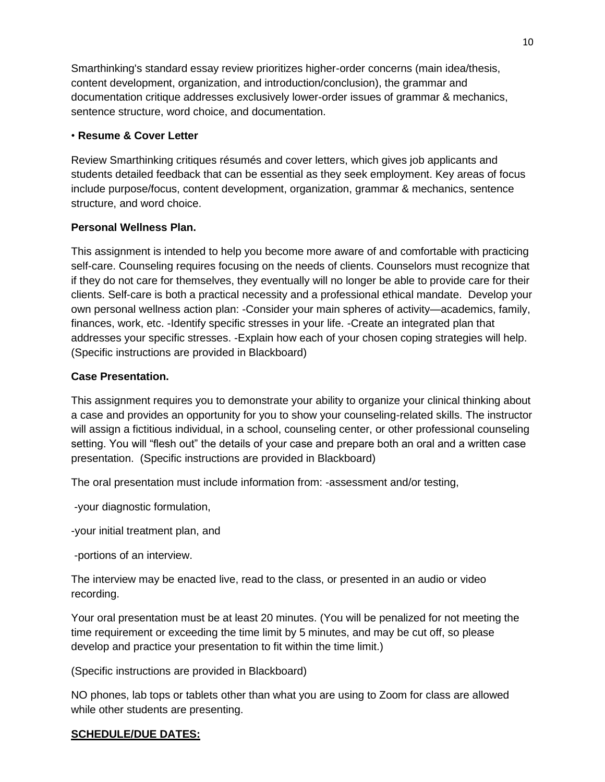Smarthinking's standard essay review prioritizes higher-order concerns (main idea/thesis, content development, organization, and introduction/conclusion), the grammar and documentation critique addresses exclusively lower-order issues of grammar & mechanics, sentence structure, word choice, and documentation.

## • **Resume & Cover Letter**

Review Smarthinking critiques résumés and cover letters, which gives job applicants and students detailed feedback that can be essential as they seek employment. Key areas of focus include purpose/focus, content development, organization, grammar & mechanics, sentence structure, and word choice.

# **Personal Wellness Plan.**

This assignment is intended to help you become more aware of and comfortable with practicing self-care. Counseling requires focusing on the needs of clients. Counselors must recognize that if they do not care for themselves, they eventually will no longer be able to provide care for their clients. Self-care is both a practical necessity and a professional ethical mandate. Develop your own personal wellness action plan: -Consider your main spheres of activity—academics, family, finances, work, etc. -Identify specific stresses in your life. -Create an integrated plan that addresses your specific stresses. -Explain how each of your chosen coping strategies will help. (Specific instructions are provided in Blackboard)

# **Case Presentation.**

This assignment requires you to demonstrate your ability to organize your clinical thinking about a case and provides an opportunity for you to show your counseling-related skills. The instructor will assign a fictitious individual, in a school, counseling center, or other professional counseling setting. You will "flesh out" the details of your case and prepare both an oral and a written case presentation. (Specific instructions are provided in Blackboard)

The oral presentation must include information from: -assessment and/or testing,

-your diagnostic formulation,

-your initial treatment plan, and

-portions of an interview.

The interview may be enacted live, read to the class, or presented in an audio or video recording.

Your oral presentation must be at least 20 minutes. (You will be penalized for not meeting the time requirement or exceeding the time limit by 5 minutes, and may be cut off, so please develop and practice your presentation to fit within the time limit.)

(Specific instructions are provided in Blackboard)

NO phones, lab tops or tablets other than what you are using to Zoom for class are allowed while other students are presenting.

# **SCHEDULE/DUE DATES:**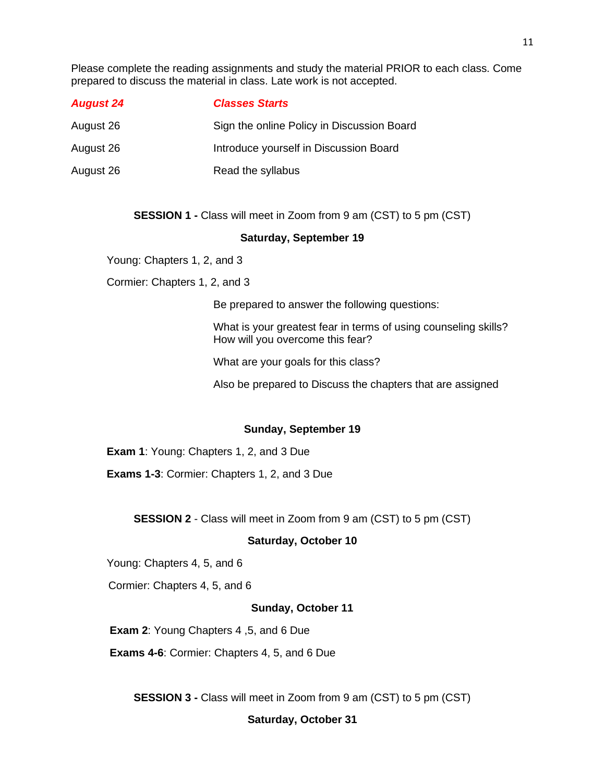Please complete the reading assignments and study the material PRIOR to each class. Come prepared to discuss the material in class. Late work is not accepted.

| <b>August 24</b> | <b>Classes Starts</b>                      |
|------------------|--------------------------------------------|
| August 26        | Sign the online Policy in Discussion Board |
| August 26        | Introduce yourself in Discussion Board     |
| August 26        | Read the syllabus                          |

#### **SESSION 1 -** Class will meet in Zoom from 9 am (CST) to 5 pm (CST)

#### **Saturday, September 19**

Young: Chapters 1, 2, and 3

Cormier: Chapters 1, 2, and 3

Be prepared to answer the following questions:

What is your greatest fear in terms of using counseling skills? How will you overcome this fear?

What are your goals for this class?

Also be prepared to Discuss the chapters that are assigned

#### **Sunday, September 19**

**Exam 1: Young: Chapters 1, 2, and 3 Due** 

**Exams 1-3**: Cormier: Chapters 1, 2, and 3 Due

**SESSION 2** - Class will meet in Zoom from 9 am (CST) to 5 pm (CST)

#### **Saturday, October 10**

Young: Chapters 4, 5, and 6

Cormier: Chapters 4, 5, and 6

#### **Sunday, October 11**

**Exam 2**: Young Chapters 4 ,5, and 6 Due

**Exams 4-6**: Cormier: Chapters 4, 5, and 6 Due

**SESSION 3 -** Class will meet in Zoom from 9 am (CST) to 5 pm (CST)

#### **Saturday, October 31**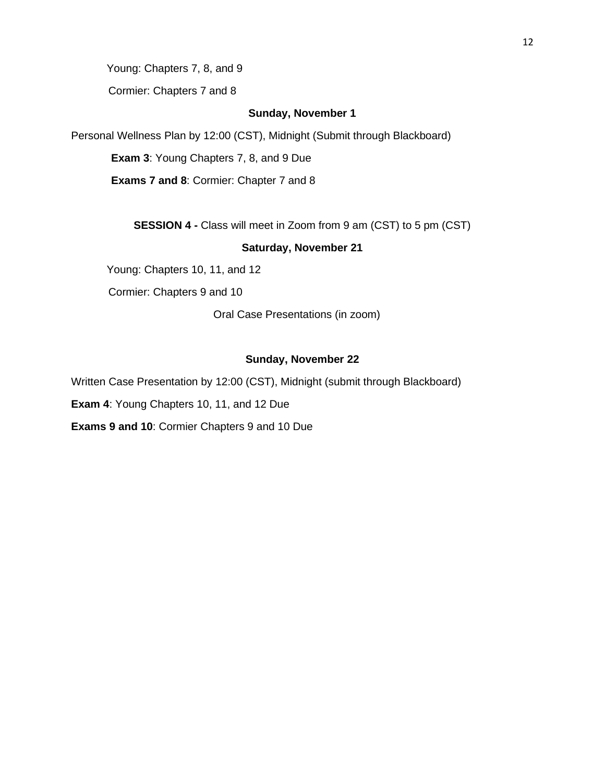Young: Chapters 7, 8, and 9

Cormier: Chapters 7 and 8

#### **Sunday, November 1**

Personal Wellness Plan by 12:00 (CST), Midnight (Submit through Blackboard)

**Exam 3**: Young Chapters 7, 8, and 9 Due

**Exams 7 and 8**: Cormier: Chapter 7 and 8

**SESSION 4 -** Class will meet in Zoom from 9 am (CST) to 5 pm (CST)

#### **Saturday, November 21**

Young: Chapters 10, 11, and 12

Cormier: Chapters 9 and 10

Oral Case Presentations (in zoom)

# **Sunday, November 22**

Written Case Presentation by 12:00 (CST), Midnight (submit through Blackboard)

**Exam 4**: Young Chapters 10, 11, and 12 Due

**Exams 9 and 10**: Cormier Chapters 9 and 10 Due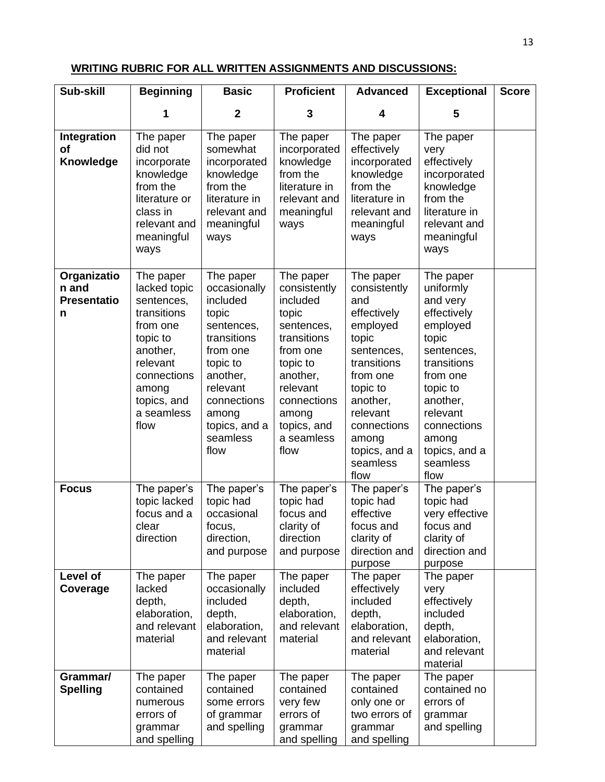# **WRITING RUBRIC FOR ALL WRITTEN ASSIGNMENTS AND DISCUSSIONS:**

| Sub-skill                                       | <b>Beginning</b>                                                                                                                                                    | <b>Basic</b>                                                                                                                                                                             | <b>Proficient</b>                                                                                                                                                                        | <b>Advanced</b>                                                                                                                                                                                                | <b>Exceptional</b>                                                                                                                                                                                               | <b>Score</b> |
|-------------------------------------------------|---------------------------------------------------------------------------------------------------------------------------------------------------------------------|------------------------------------------------------------------------------------------------------------------------------------------------------------------------------------------|------------------------------------------------------------------------------------------------------------------------------------------------------------------------------------------|----------------------------------------------------------------------------------------------------------------------------------------------------------------------------------------------------------------|------------------------------------------------------------------------------------------------------------------------------------------------------------------------------------------------------------------|--------------|
|                                                 | 1                                                                                                                                                                   | $\mathbf{2}$                                                                                                                                                                             | 3                                                                                                                                                                                        | 4                                                                                                                                                                                                              | 5                                                                                                                                                                                                                |              |
| Integration<br>оf<br>Knowledge                  | The paper<br>did not<br>incorporate<br>knowledge<br>from the<br>literature or<br>class in<br>relevant and<br>meaningful<br>ways                                     | The paper<br>somewhat<br>incorporated<br>knowledge<br>from the<br>literature in<br>relevant and<br>meaningful<br>ways                                                                    | The paper<br>incorporated<br>knowledge<br>from the<br>literature in<br>relevant and<br>meaningful<br>ways                                                                                | The paper<br>effectively<br>incorporated<br>knowledge<br>from the<br>literature in<br>relevant and<br>meaningful<br>ways                                                                                       | The paper<br>very<br>effectively<br>incorporated<br>knowledge<br>from the<br>literature in<br>relevant and<br>meaningful<br>ways                                                                                 |              |
| Organizatio<br>n and<br><b>Presentatio</b><br>n | The paper<br>lacked topic<br>sentences,<br>transitions<br>from one<br>topic to<br>another,<br>relevant<br>connections<br>among<br>topics, and<br>a seamless<br>flow | The paper<br>occasionally<br>included<br>topic<br>sentences,<br>transitions<br>from one<br>topic to<br>another,<br>relevant<br>connections<br>among<br>topics, and a<br>seamless<br>flow | The paper<br>consistently<br>included<br>topic<br>sentences,<br>transitions<br>from one<br>topic to<br>another,<br>relevant<br>connections<br>among<br>topics, and<br>a seamless<br>flow | The paper<br>consistently<br>and<br>effectively<br>employed<br>topic<br>sentences,<br>transitions<br>from one<br>topic to<br>another,<br>relevant<br>connections<br>among<br>topics, and a<br>seamless<br>flow | The paper<br>uniformly<br>and very<br>effectively<br>employed<br>topic<br>sentences,<br>transitions<br>from one<br>topic to<br>another,<br>relevant<br>connections<br>among<br>topics, and a<br>seamless<br>flow |              |
| <b>Focus</b>                                    | The paper's<br>topic lacked<br>focus and a<br>clear<br>direction                                                                                                    | The paper's<br>topic had<br>occasional<br>focus,<br>direction,<br>and purpose                                                                                                            | The paper's<br>topic had<br>focus and<br>clarity of<br>direction<br>and purpose                                                                                                          | The paper's<br>topic had<br>effective<br>focus and<br>clarity of<br>direction and<br>purpose                                                                                                                   | The paper's<br>topic had<br>very effective<br>focus and<br>clarity of<br>direction and<br>purpose                                                                                                                |              |
| Level of<br>Coverage                            | The paper<br>lacked<br>depth,<br>elaboration,<br>and relevant<br>material                                                                                           | The paper<br>occasionally<br>included<br>depth,<br>elaboration,<br>and relevant<br>material                                                                                              | The paper<br>included<br>depth,<br>elaboration,<br>and relevant<br>material                                                                                                              | The paper<br>effectively<br>included<br>depth,<br>elaboration,<br>and relevant<br>material                                                                                                                     | The paper<br>very<br>effectively<br>included<br>depth,<br>elaboration,<br>and relevant<br>material                                                                                                               |              |
| Grammar/<br><b>Spelling</b>                     | The paper<br>contained<br>numerous<br>errors of<br>grammar<br>and spelling                                                                                          | The paper<br>contained<br>some errors<br>of grammar<br>and spelling                                                                                                                      | The paper<br>contained<br>very few<br>errors of<br>grammar<br>and spelling                                                                                                               | The paper<br>contained<br>only one or<br>two errors of<br>grammar<br>and spelling                                                                                                                              | The paper<br>contained no<br>errors of<br>grammar<br>and spelling                                                                                                                                                |              |